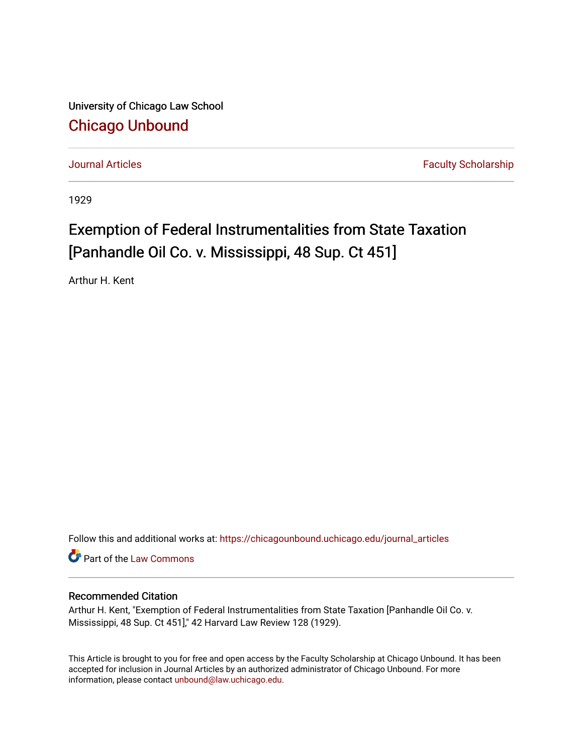University of Chicago Law School [Chicago Unbound](https://chicagounbound.uchicago.edu/)

[Journal Articles](https://chicagounbound.uchicago.edu/journal_articles) **Faculty Scholarship Journal Articles** 

1929

## Exemption of Federal Instrumentalities from State Taxation [Panhandle Oil Co. v. Mississippi, 48 Sup. Ct 451]

Arthur H. Kent

Follow this and additional works at: [https://chicagounbound.uchicago.edu/journal\\_articles](https://chicagounbound.uchicago.edu/journal_articles?utm_source=chicagounbound.uchicago.edu%2Fjournal_articles%2F9109&utm_medium=PDF&utm_campaign=PDFCoverPages) 

Part of the [Law Commons](http://network.bepress.com/hgg/discipline/578?utm_source=chicagounbound.uchicago.edu%2Fjournal_articles%2F9109&utm_medium=PDF&utm_campaign=PDFCoverPages)

## Recommended Citation

Arthur H. Kent, "Exemption of Federal Instrumentalities from State Taxation [Panhandle Oil Co. v. Mississippi, 48 Sup. Ct 451]," 42 Harvard Law Review 128 (1929).

This Article is brought to you for free and open access by the Faculty Scholarship at Chicago Unbound. It has been accepted for inclusion in Journal Articles by an authorized administrator of Chicago Unbound. For more information, please contact [unbound@law.uchicago.edu](mailto:unbound@law.uchicago.edu).